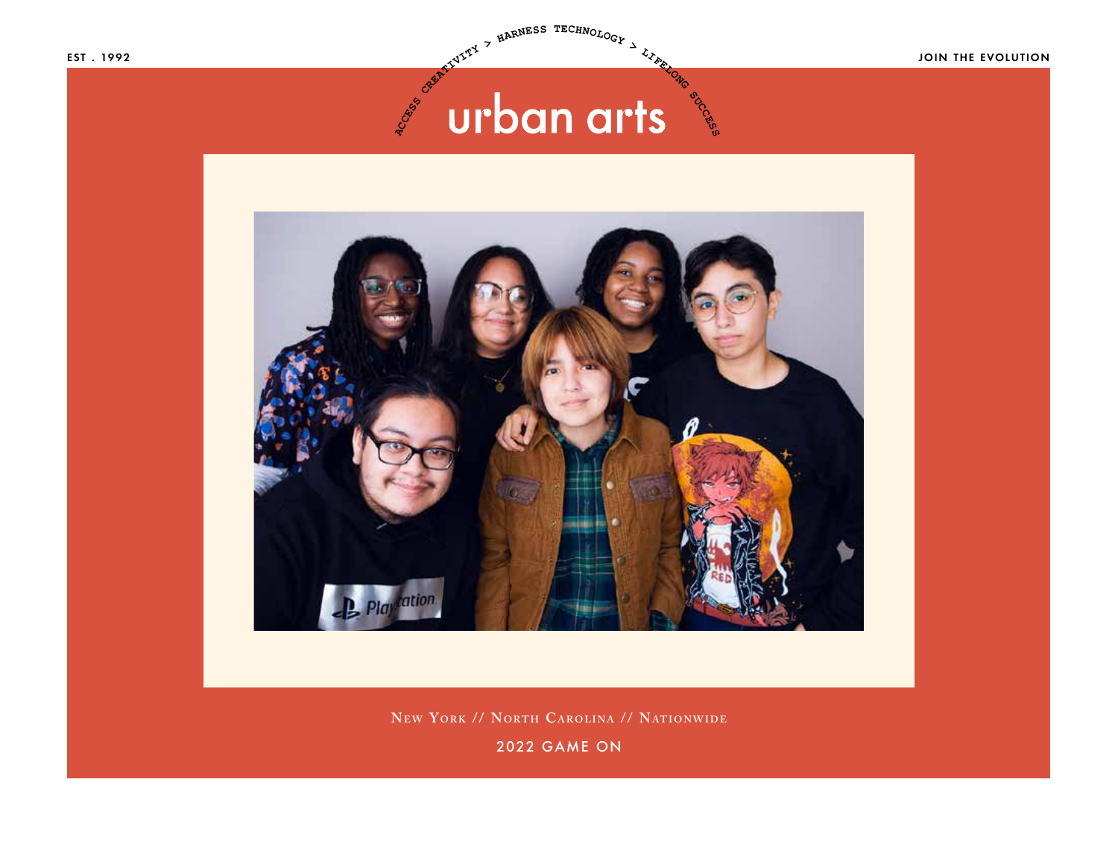EST . 1992 JOIN THE EVOLUTION

# **ACCESS SUCCESS**



**New YORK // NORTH CAROLINA // NATIONWIDE** 

2022 GAME ON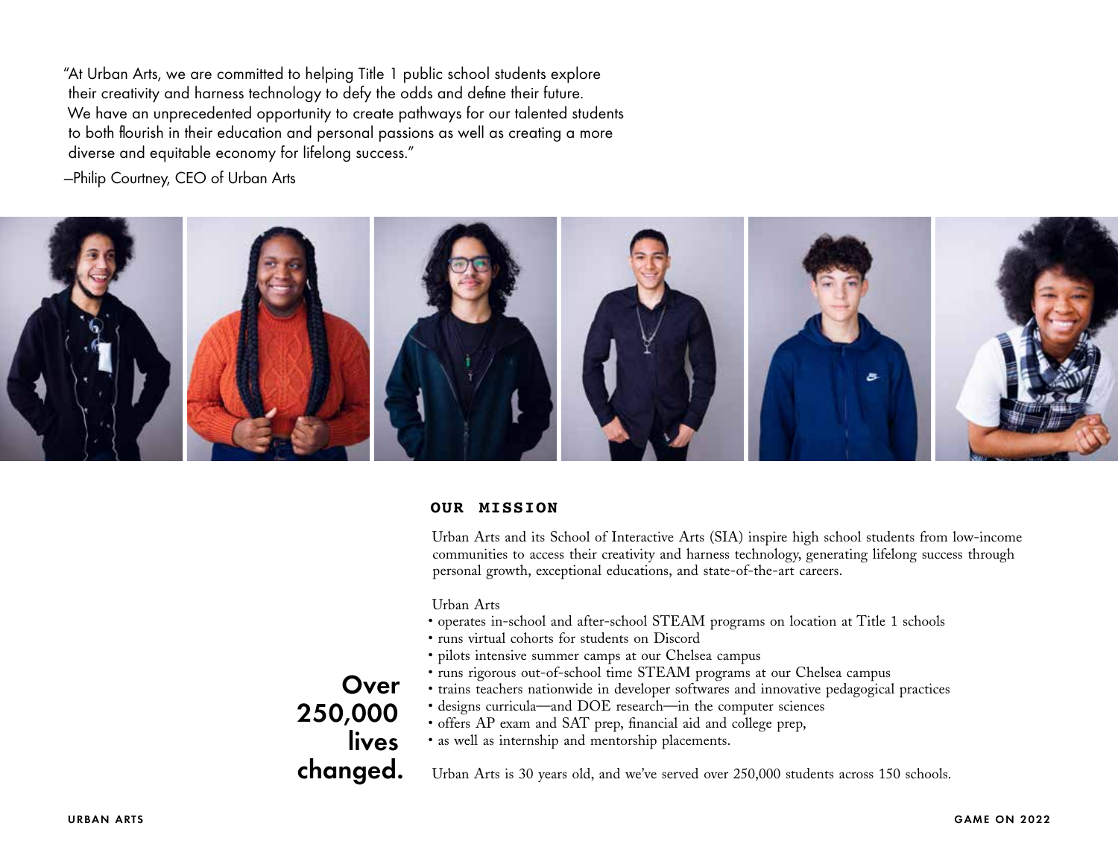"At Urban Arts, we are committed to helping Title 1 public school students explore their creativity and harness technology to defy the odds and define their future. We have an unprecedented opportunity to create pathways for our talented students to both flourish in their education and personal passions as well as creating a more diverse and equitable economy for lifelong success."

—Philip Courtney, CEO of Urban Arts



# **OUR MISSION**

Urban Arts and its School of Interactive Arts (SIA) inspire high school students from low-income communities to access their creativity and harness technology, generating lifelong success through personal growth, exceptional educations, and state-of-the-art careers.

Urban Arts

- operates in-school and after-school STEAM programs on location at Title 1 schools
- runs virtual cohorts for students on Discord
- pilots intensive summer camps at our Chelsea campus
- runs rigorous out-of-school time STEAM programs at our Chelsea campus
- trains teachers nationwide in developer softwares and innovative pedagogical practices
- designs curricula—and DOE research—in the computer sciences
- offers AP exam and SAT prep, financial aid and college prep,
- as well as internship and mentorship placements.

Urban Arts is 30 years old, and we've served over 250,000 students across 150 schools.

**Over** 250,000 lives changed.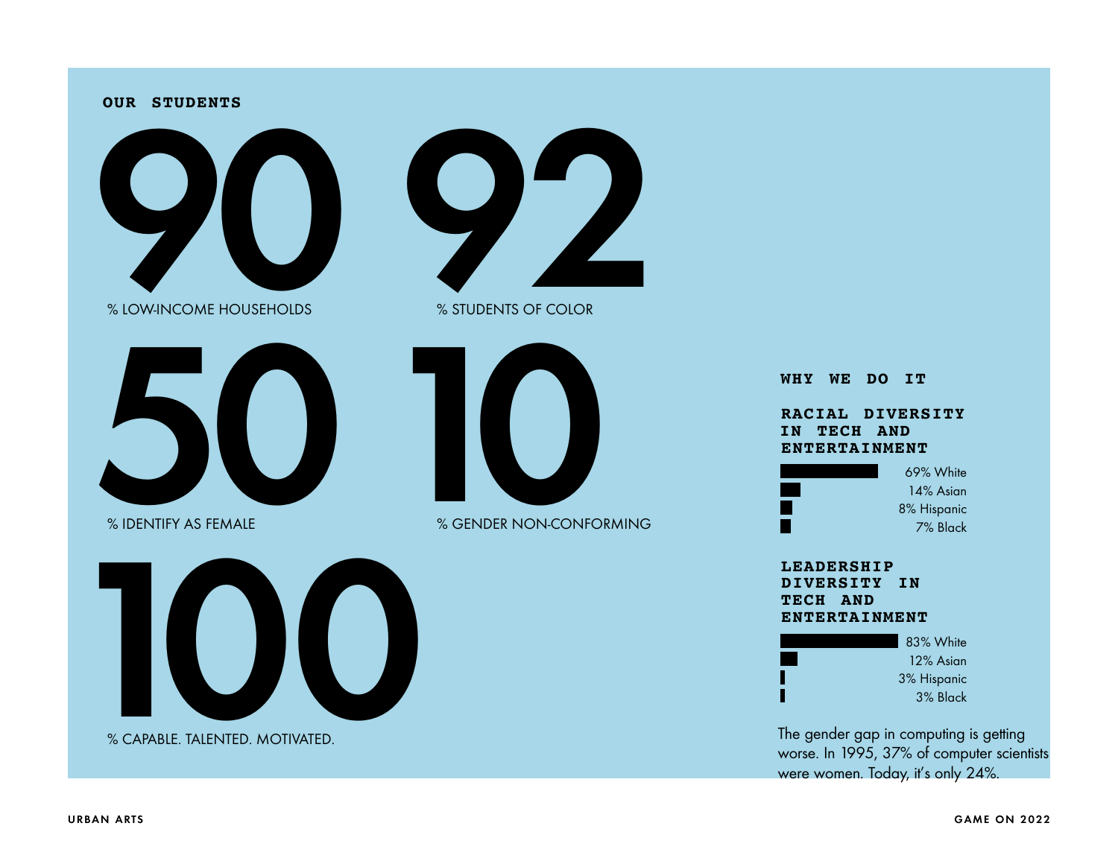#### **OUR STUDENTS**



% LOW-INCOME HOUSEHOLDS



% IDENTIFY AS FEMALE



% STUDENTS OF COLOR



% GENDER NON-CONFORMING



% CAPABLE. TALENTED. MOTIVATED.

# **RACIAL DIVERSITY IN TECH AND ENTERTAINMENT** 69% White **WHY WE DO IT**

14% Asian 8% Hispanic 7% Black

### **LEADERSHIP DIVERSITY IN TECH AND ENTERTAINMENT**



The gender gap in computing is getting worse. In 1995, 37% of computer scientists were women. Today, it's only 24%.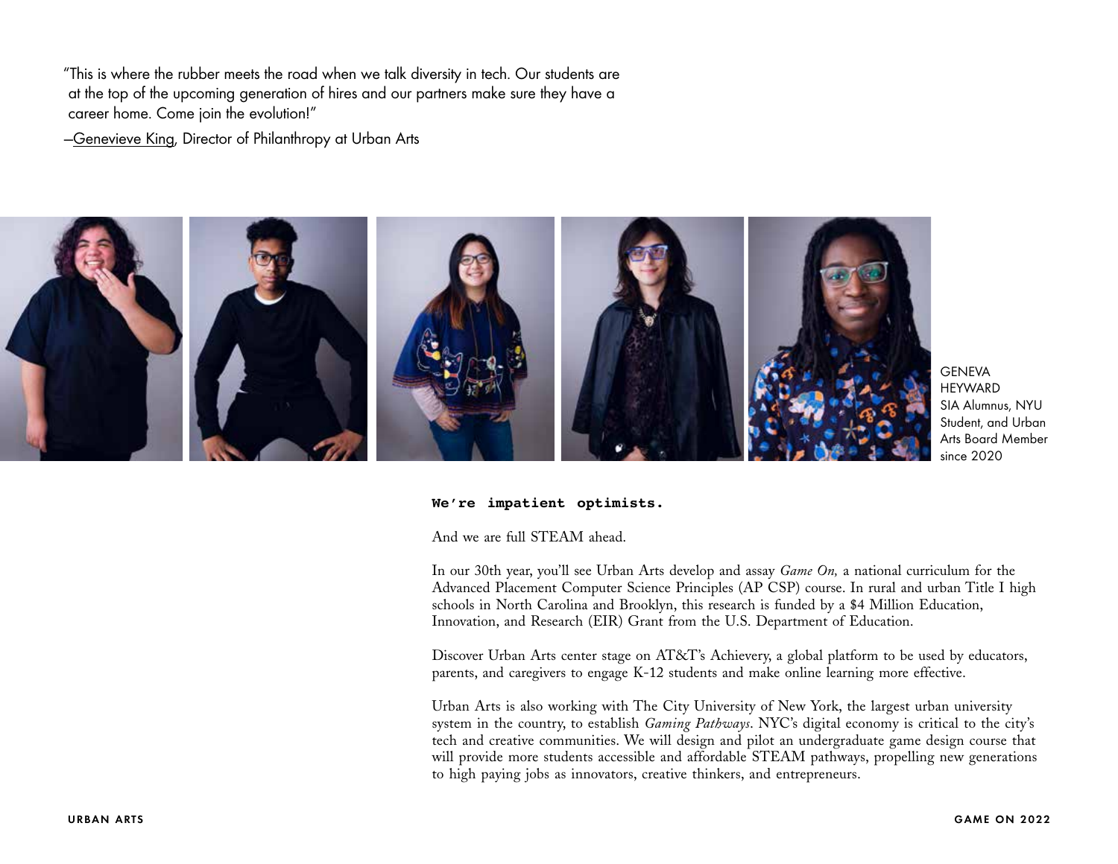"This is where the rubber meets the road when we talk diversity in tech. Our students are at the top of the upcoming generation of hires and our partners make sure they have a career home. Come join the evolution!"

—[Genevieve King](mailto:genevieve%40urbanarts.org?subject=HEY%20URBAN%20ARTS%21), Director of Philanthropy at Urban Arts



**GENEVA HEYWARD** SIA Alumnus, NYU Student, and Urban Arts Board Member since 2020

#### **We're impatient optimists.**

And we are full STEAM ahead.

In our 30th year, you'll see Urban Arts develop and assay *Game On,* a national curriculum for the Advanced Placement Computer Science Principles (AP CSP) course. In rural and urban Title I high schools in North Carolina and Brooklyn, this research is funded by a \$4 Million Education, Innovation, and Research (EIR) Grant from the U.S. Department of Education.

Discover Urban Arts center stage on AT&T's Achievery, a global platform to be used by educators, parents, and caregivers to engage K-12 students and make online learning more effective.

Urban Arts is also working with The City University of New York, the largest urban university system in the country, to establish *Gaming Pathways*. NYC's digital economy is critical to the city's tech and creative communities. We will design and pilot an undergraduate game design course that will provide more students accessible and affordable STEAM pathways, propelling new generations to high paying jobs as innovators, creative thinkers, and entrepreneurs.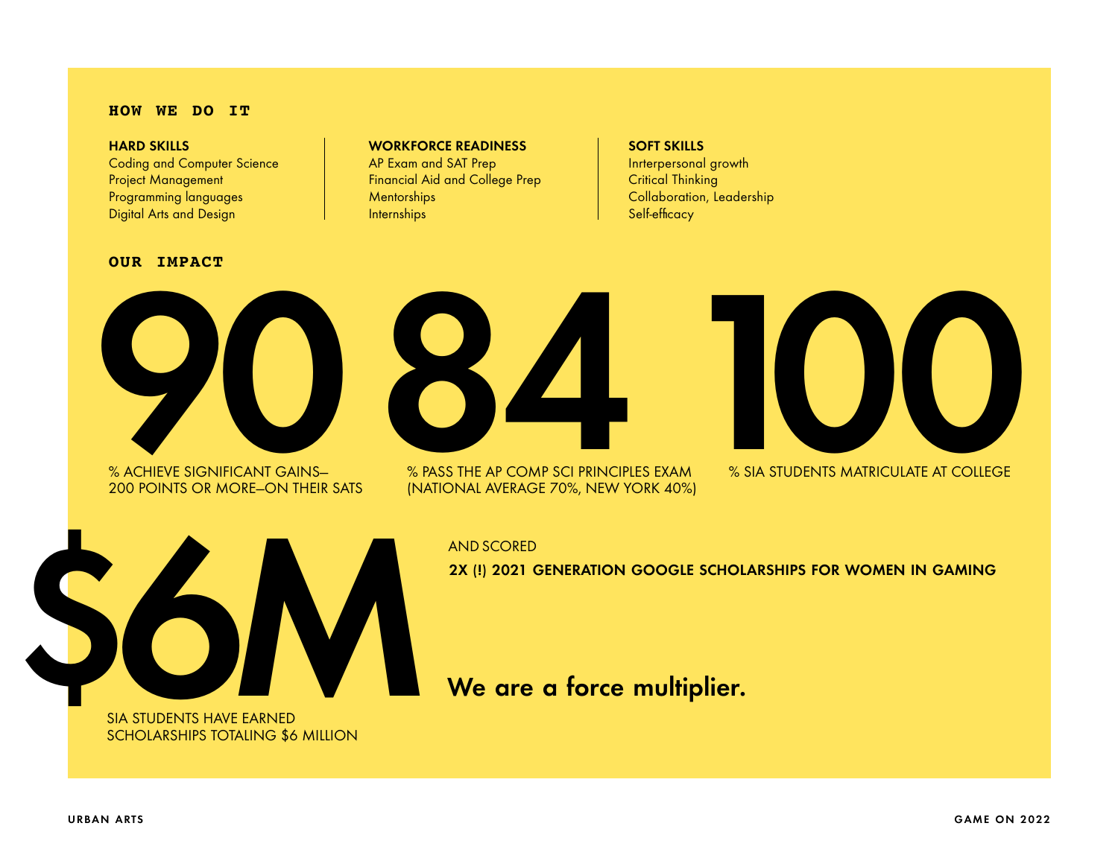#### **HOW WE DO IT**

#### HARD SKILLS

Coding and Computer Science Project Management Programming languages Digital Arts and Design

### **OUR IMPACT**

## WORKFORCE READINESS

AP Exam and SAT Prep Financial Aid and College Prep **Mentorships Internships** 

# SOFT SKILLS

Inrterpersonal growth Critical Thinking Collaboration, Leadership Self-efficacy



% ACHIEVE SIGNIFICANT GAINS— 200 POINTS OR MORE—ON THEIR SATS



% PASS THE AP COMP SCI PRINCIPLES EXAM (NATIONAL AVERAGE 70%, NEW YORK 40%)



% SIA STUDENTS MATRICULATE AT COLLEGE



SIA STUDENTS HAVE EARNED SCHOLARSHIPS TOTALING \$6 MILLION

# AND SCORED

2X (!) 2021 GENERATION GOOGLE SCHOLARSHIPS FOR WOMEN IN GAMING

We are a force multiplier.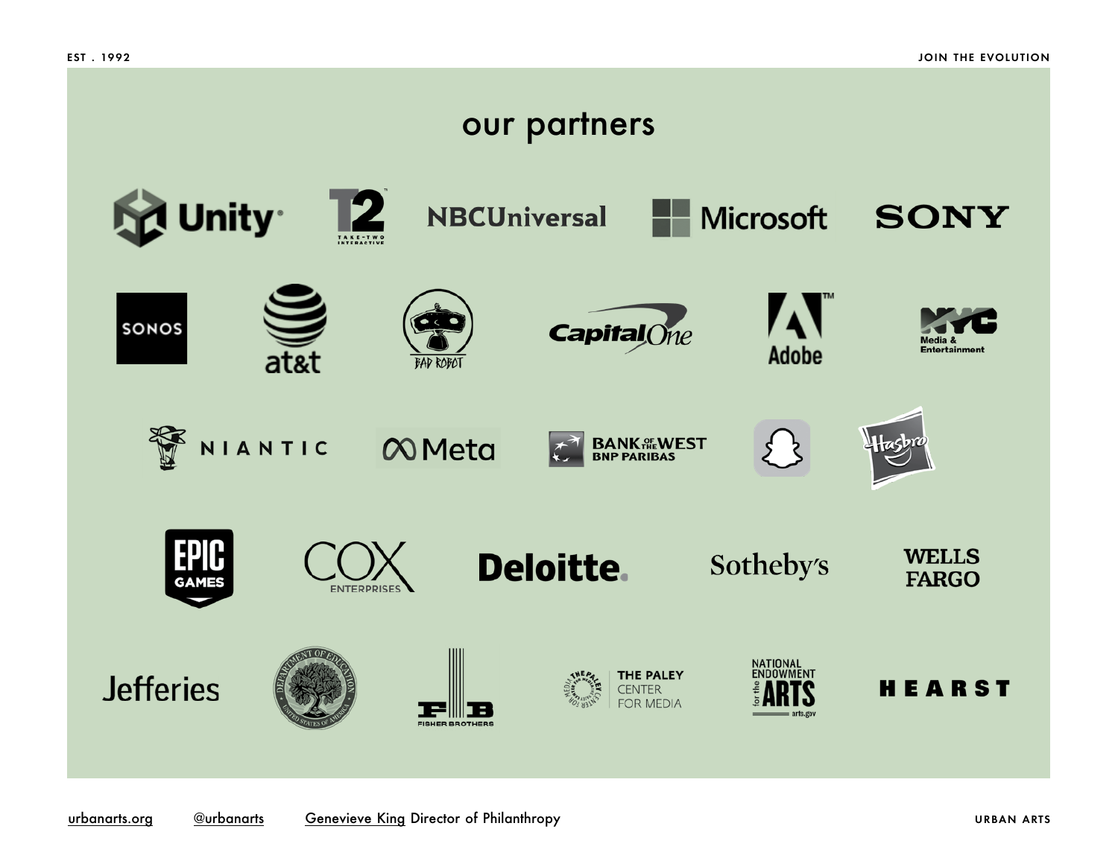